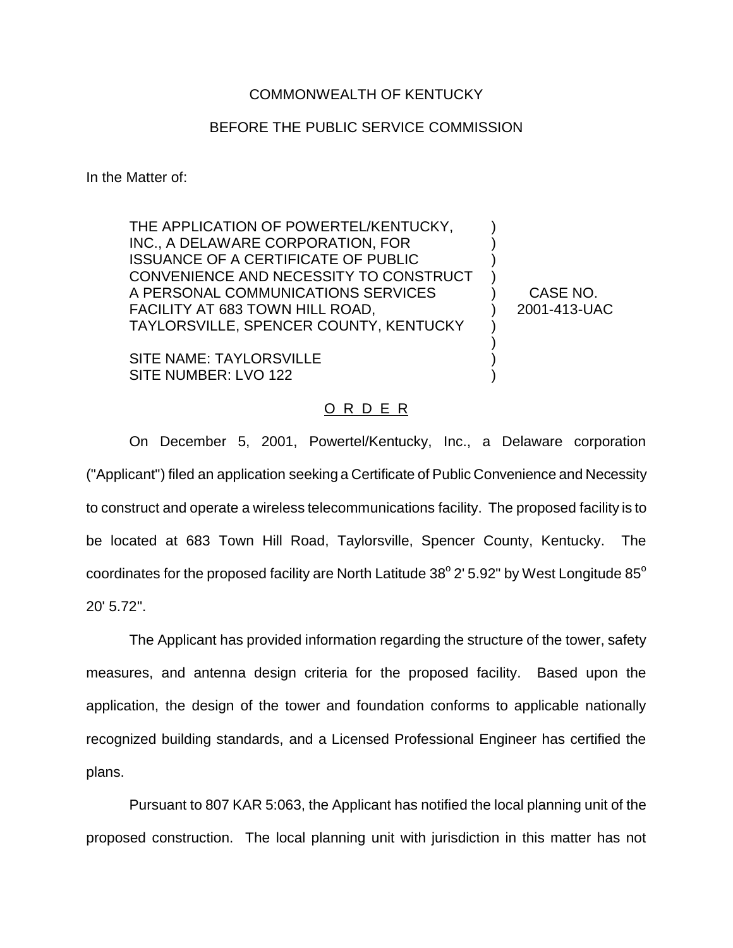## COMMONWEALTH OF KENTUCKY

## BEFORE THE PUBLIC SERVICE COMMISSION

In the Matter of:

THE APPLICATION OF POWERTEL/KENTUCKY, INC., A DELAWARE CORPORATION, FOR ISSUANCE OF A CERTIFICATE OF PUBLIC CONVENIENCE AND NECESSITY TO CONSTRUCT A PERSONAL COMMUNICATIONS SERVICES FACILITY AT 683 TOWN HILL ROAD, TAYLORSVILLE, SPENCER COUNTY, KENTUCKY

SITE NAME: TAYLORSVILLE SITE NUMBER: LVO 122

CASE NO. 2001-413-UAC

) ) ) ) ) ) ) ) ) )

## O R D E R

On December 5, 2001, Powertel/Kentucky, Inc., a Delaware corporation ("Applicant") filed an application seeking a Certificate of Public Convenience and Necessity to construct and operate a wireless telecommunications facility. The proposed facility is to be located at 683 Town Hill Road, Taylorsville, Spencer County, Kentucky. The coordinates for the proposed facility are North Latitude  $38^{\circ}$  2' 5.92" by West Longitude  $85^{\circ}$ 20' 5.72".

The Applicant has provided information regarding the structure of the tower, safety measures, and antenna design criteria for the proposed facility. Based upon the application, the design of the tower and foundation conforms to applicable nationally recognized building standards, and a Licensed Professional Engineer has certified the plans.

Pursuant to 807 KAR 5:063, the Applicant has notified the local planning unit of the proposed construction. The local planning unit with jurisdiction in this matter has not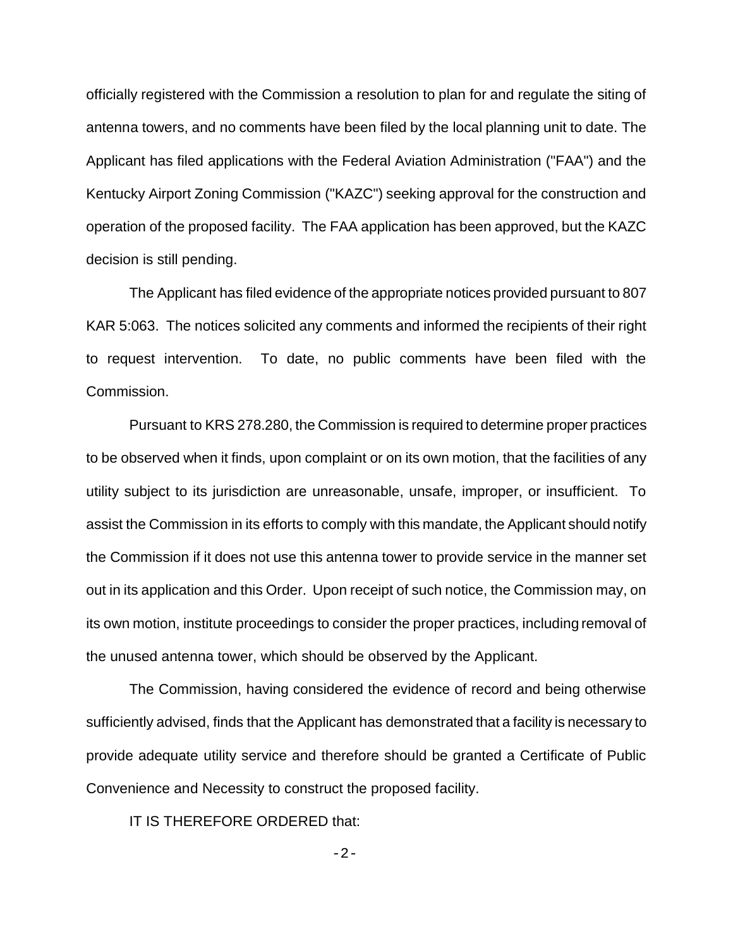officially registered with the Commission a resolution to plan for and regulate the siting of antenna towers, and no comments have been filed by the local planning unit to date. The Applicant has filed applications with the Federal Aviation Administration ("FAA") and the Kentucky Airport Zoning Commission ("KAZC") seeking approval for the construction and operation of the proposed facility. The FAA application has been approved, but the KAZC decision is still pending.

The Applicant has filed evidence of the appropriate notices provided pursuant to 807 KAR 5:063. The notices solicited any comments and informed the recipients of their right to request intervention. To date, no public comments have been filed with the Commission.

Pursuant to KRS 278.280, the Commission is required to determine proper practices to be observed when it finds, upon complaint or on its own motion, that the facilities of any utility subject to its jurisdiction are unreasonable, unsafe, improper, or insufficient. To assist the Commission in its efforts to comply with this mandate, the Applicant should notify the Commission if it does not use this antenna tower to provide service in the manner set out in its application and this Order. Upon receipt of such notice, the Commission may, on its own motion, institute proceedings to consider the proper practices, including removal of the unused antenna tower, which should be observed by the Applicant.

The Commission, having considered the evidence of record and being otherwise sufficiently advised, finds that the Applicant has demonstrated that a facility is necessary to provide adequate utility service and therefore should be granted a Certificate of Public Convenience and Necessity to construct the proposed facility.

IT IS THEREFORE ORDERED that:

 $-2-$